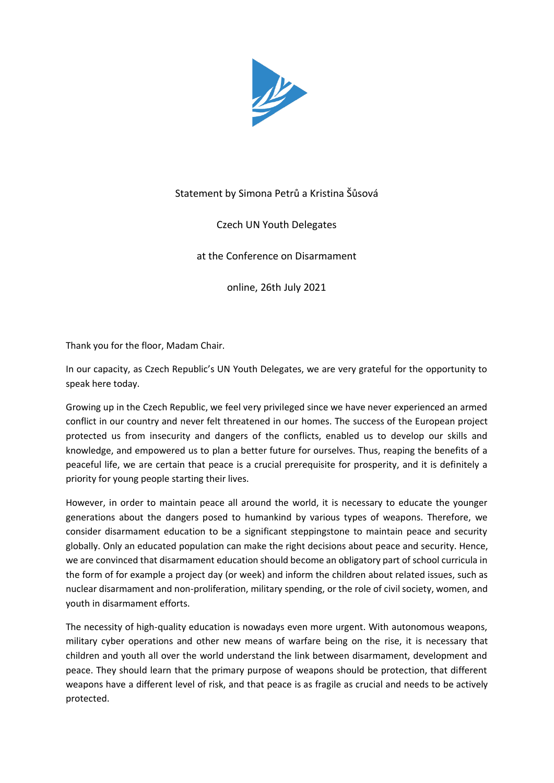

## Statement by Simona Petrů a Kristina Šůsová

## Czech UN Youth Delegates

## at the Conference on Disarmament

online, 26th July 2021

Thank you for the floor, Madam Chair.

In our capacity, as Czech Republic's UN Youth Delegates, we are very grateful for the opportunity to speak here today.

Growing up in the Czech Republic, we feel very privileged since we have never experienced an armed conflict in our country and never felt threatened in our homes. The success of the European project protected us from insecurity and dangers of the conflicts, enabled us to develop our skills and knowledge, and empowered us to plan a better future for ourselves. Thus, reaping the benefits of a peaceful life, we are certain that peace is a crucial prerequisite for prosperity, and it is definitely a priority for young people starting their lives.

However, in order to maintain peace all around the world, it is necessary to educate the younger generations about the dangers posed to humankind by various types of weapons. Therefore, we consider disarmament education to be a significant steppingstone to maintain peace and security globally. Only an educated population can make the right decisions about peace and security. Hence, we are convinced that disarmament education should become an obligatory part of school curricula in the form of for example a project day (or week) and inform the children about related issues, such as nuclear disarmament and non-proliferation, military spending, or the role of civil society, women, and youth in disarmament efforts.

The necessity of high-quality education is nowadays even more urgent. With autonomous weapons, military cyber operations and other new means of warfare being on the rise, it is necessary that children and youth all over the world understand the link between disarmament, development and peace. They should learn that the primary purpose of weapons should be protection, that different weapons have a different level of risk, and that peace is as fragile as crucial and needs to be actively protected.